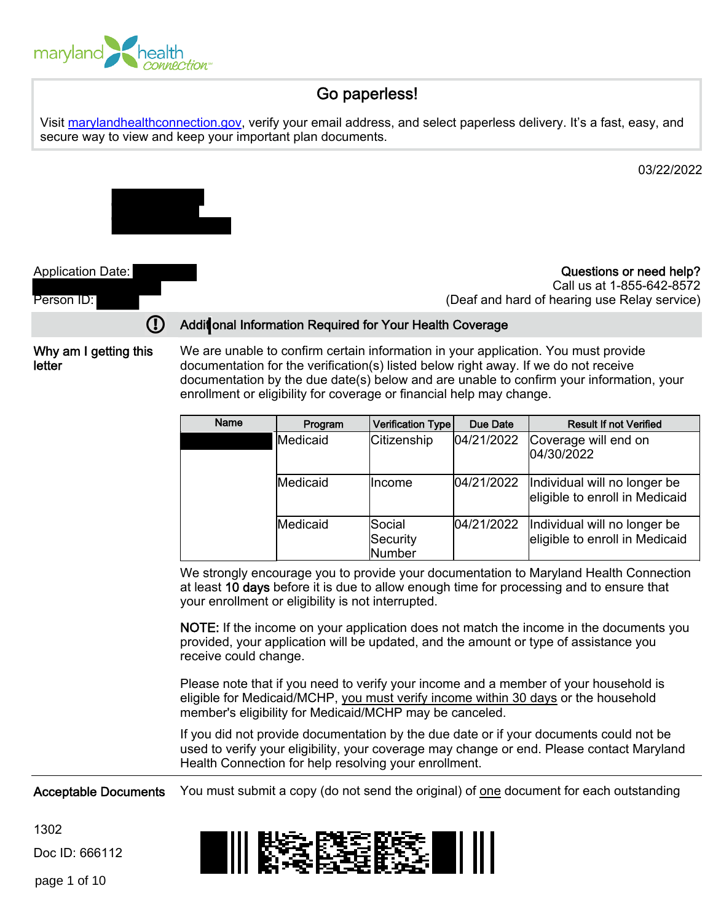

### Go paperless!

Visit [marylandhealthconnection.gov](http://www.marylandhealthconnection.gov/), verify your email address, and select paperless delivery. It's a fast, easy, and secure way to view and keep your important plan documents.

03/22/2022



Application Date:

Questions or need help? Call us at 1-855-642-8572 (Deaf and hard of hearing use Relay service)

# Person ID:

#### Addit onal Information Required for Your Health Coverage

Why am I getting this letter

We are unable to confirm certain information in your application. You must provide documentation for the verification(s) listed below right away. If we do not receive documentation by the due date(s) below and are unable to confirm your information, your enrollment or eligibility for coverage or financial help may change.

| Name | Program  | Verification Type            | Due Date   | <b>Result If not Verified</b>                                  |
|------|----------|------------------------------|------------|----------------------------------------------------------------|
|      | Medicaid | Citizenship                  | 04/21/2022 | Coverage will end on<br>04/30/2022                             |
|      | Medicaid | <b>Ilncome</b>               | 04/21/2022 | Individual will no longer be<br>eligible to enroll in Medicaid |
|      | Medicaid | Social<br>Security<br>Number | 04/21/2022 | Individual will no longer be<br>eligible to enroll in Medicaid |

We strongly encourage you to provide your documentation to Maryland Health Connection at least 10 days before it is due to allow enough time for processing and to ensure that your enrollment or eligibility is not interrupted.

NOTE: If the income on your application does not match the income in the documents you provided, your application will be updated, and the amount or type of assistance you receive could change.

Please note that if you need to verify your income and a member of your household is eligible for Medicaid/MCHP, you must verify income within 30 days or the household member's eligibility for Medicaid/MCHP may be canceled.

If you did not provide documentation by the due date or if your documents could not be used to verify your eligibility, your coverage may change or end. Please contact Maryland Health Connection for help resolving your enrollment.

Acceptable Documents You must submit a copy (do not send the original) of one document for each outstanding

1302

Doc ID: 666112

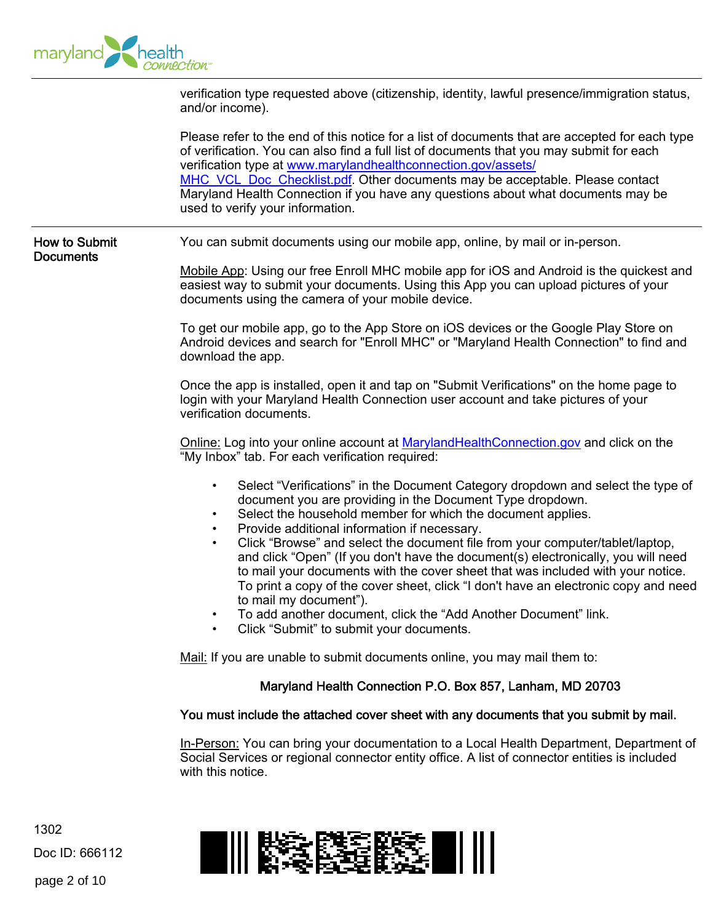

|                                          | verification type requested above (citizenship, identity, lawful presence/immigration status,<br>and/or income).                                                                                                                                                                                                                                                                                                                                                                                                                                                                                                                                                                                                                                                                                         |  |  |  |  |
|------------------------------------------|----------------------------------------------------------------------------------------------------------------------------------------------------------------------------------------------------------------------------------------------------------------------------------------------------------------------------------------------------------------------------------------------------------------------------------------------------------------------------------------------------------------------------------------------------------------------------------------------------------------------------------------------------------------------------------------------------------------------------------------------------------------------------------------------------------|--|--|--|--|
|                                          | Please refer to the end of this notice for a list of documents that are accepted for each type<br>of verification. You can also find a full list of documents that you may submit for each<br>verification type at www.marylandhealthconnection.gov/assets/<br>MHC VCL Doc Checklist.pdf. Other documents may be acceptable. Please contact<br>Maryland Health Connection if you have any questions about what documents may be<br>used to verify your information.                                                                                                                                                                                                                                                                                                                                      |  |  |  |  |
| <b>How to Submit</b><br><b>Documents</b> | You can submit documents using our mobile app, online, by mail or in-person.                                                                                                                                                                                                                                                                                                                                                                                                                                                                                                                                                                                                                                                                                                                             |  |  |  |  |
|                                          | Mobile App: Using our free Enroll MHC mobile app for iOS and Android is the quickest and<br>easiest way to submit your documents. Using this App you can upload pictures of your<br>documents using the camera of your mobile device.                                                                                                                                                                                                                                                                                                                                                                                                                                                                                                                                                                    |  |  |  |  |
|                                          | To get our mobile app, go to the App Store on iOS devices or the Google Play Store on<br>Android devices and search for "Enroll MHC" or "Maryland Health Connection" to find and<br>download the app.                                                                                                                                                                                                                                                                                                                                                                                                                                                                                                                                                                                                    |  |  |  |  |
|                                          | Once the app is installed, open it and tap on "Submit Verifications" on the home page to<br>login with your Maryland Health Connection user account and take pictures of your<br>verification documents.                                                                                                                                                                                                                                                                                                                                                                                                                                                                                                                                                                                                 |  |  |  |  |
|                                          | Online: Log into your online account at MarylandHealthConnection.gov and click on the<br>"My Inbox" tab. For each verification required:                                                                                                                                                                                                                                                                                                                                                                                                                                                                                                                                                                                                                                                                 |  |  |  |  |
|                                          | Select "Verifications" in the Document Category dropdown and select the type of<br>$\bullet$<br>document you are providing in the Document Type dropdown.<br>Select the household member for which the document applies.<br>$\bullet$<br>Provide additional information if necessary.<br>$\bullet$<br>Click "Browse" and select the document file from your computer/tablet/laptop,<br>$\bullet$<br>and click "Open" (If you don't have the document(s) electronically, you will need<br>to mail your documents with the cover sheet that was included with your notice.<br>To print a copy of the cover sheet, click "I don't have an electronic copy and need<br>to mail my document").<br>To add another document, click the "Add Another Document" link.<br>Click "Submit" to submit your documents. |  |  |  |  |
|                                          | Mail: If you are unable to submit documents online, you may mail them to:                                                                                                                                                                                                                                                                                                                                                                                                                                                                                                                                                                                                                                                                                                                                |  |  |  |  |
|                                          | Maryland Health Connection P.O. Box 857, Lanham, MD 20703                                                                                                                                                                                                                                                                                                                                                                                                                                                                                                                                                                                                                                                                                                                                                |  |  |  |  |
|                                          | You must include the attached cover sheet with any documents that you submit by mail.                                                                                                                                                                                                                                                                                                                                                                                                                                                                                                                                                                                                                                                                                                                    |  |  |  |  |
|                                          | In-Person: You can bring your documentation to a Local Health Department, Department of<br>Social Services or regional connector entity office. A list of connector entities is included<br>with this notice.                                                                                                                                                                                                                                                                                                                                                                                                                                                                                                                                                                                            |  |  |  |  |
| 1302<br>Doc ID: 666112                   |                                                                                                                                                                                                                                                                                                                                                                                                                                                                                                                                                                                                                                                                                                                                                                                                          |  |  |  |  |

page 2 of 10

1302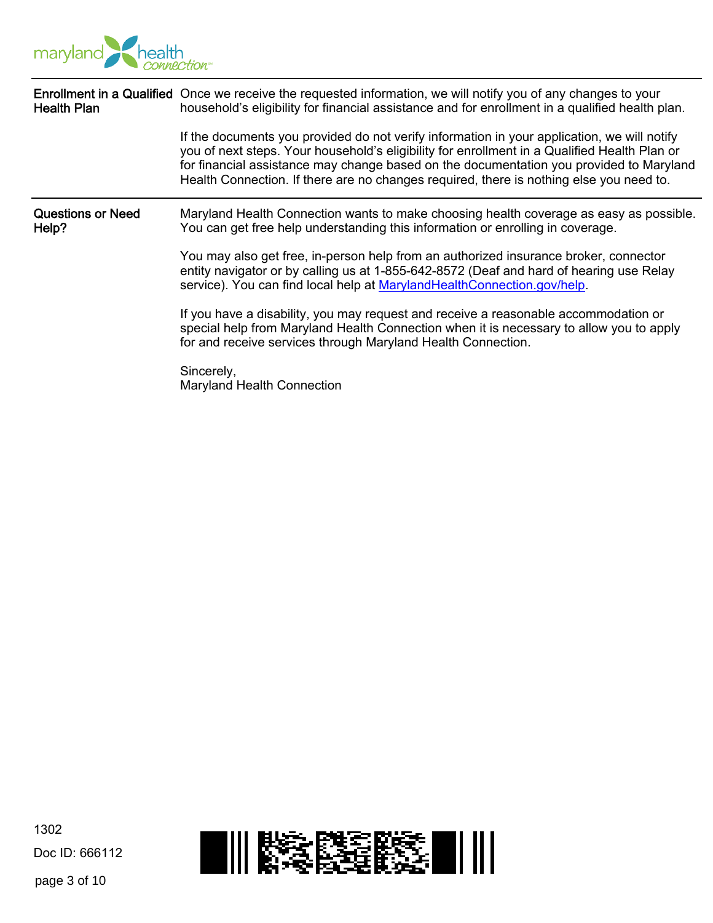

| <b>Health Plan</b>                | Enrollment in a Qualified Once we receive the requested information, we will notify you of any changes to your<br>household's eligibility for financial assistance and for enrollment in a qualified health plan.<br>If the documents you provided do not verify information in your application, we will notify<br>you of next steps. Your household's eligibility for enrollment in a Qualified Health Plan or<br>for financial assistance may change based on the documentation you provided to Maryland<br>Health Connection. If there are no changes required, there is nothing else you need to. |  |  |  |
|-----------------------------------|--------------------------------------------------------------------------------------------------------------------------------------------------------------------------------------------------------------------------------------------------------------------------------------------------------------------------------------------------------------------------------------------------------------------------------------------------------------------------------------------------------------------------------------------------------------------------------------------------------|--|--|--|
| <b>Questions or Need</b><br>Help? | Maryland Health Connection wants to make choosing health coverage as easy as possible.<br>You can get free help understanding this information or enrolling in coverage.                                                                                                                                                                                                                                                                                                                                                                                                                               |  |  |  |
|                                   | You may also get free, in-person help from an authorized insurance broker, connector<br>entity navigator or by calling us at 1-855-642-8572 (Deaf and hard of hearing use Relay<br>service). You can find local help at MarylandHealthConnection.gov/help.                                                                                                                                                                                                                                                                                                                                             |  |  |  |
|                                   | If you have a disability, you may request and receive a reasonable accommodation or<br>special help from Maryland Health Connection when it is necessary to allow you to apply<br>for and receive services through Maryland Health Connection.                                                                                                                                                                                                                                                                                                                                                         |  |  |  |
|                                   | Sincerely,<br>Maryland Health Connection                                                                                                                                                                                                                                                                                                                                                                                                                                                                                                                                                               |  |  |  |

page 3 of 10

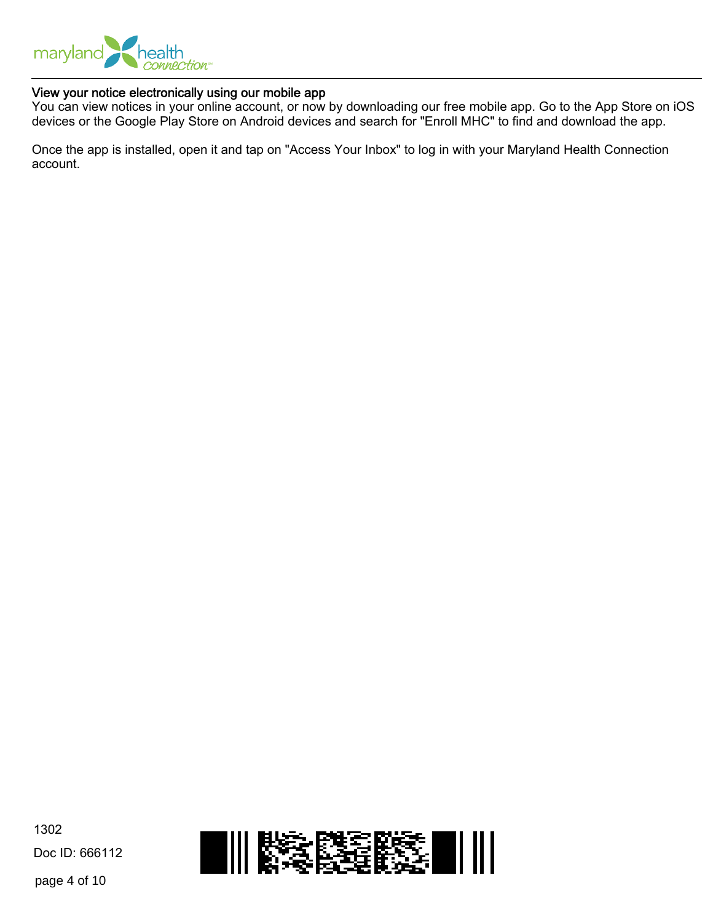

#### View your notice electronically using our mobile app

You can view notices in your online account, or now by downloading our free mobile app. Go to the App Store on iOS devices or the Google Play Store on Android devices and search for "Enroll MHC" to find and download the app.

Once the app is installed, open it and tap on "Access Your Inbox" to log in with your Maryland Health Connection account.

1302 Doc ID: 666112

page 4 of 10

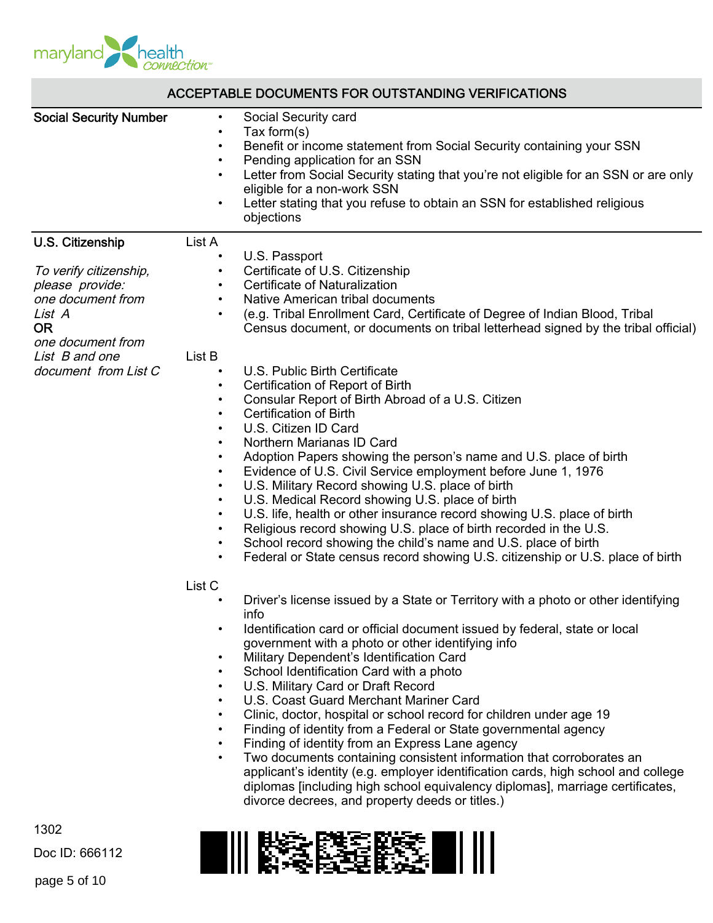

| ACCEPTABLE DOCUMENTS FOR OUTSTANDING VERIFICATIONS                                                                                                                       |                                                                                                                                                                                                                                                                                                                                                                                                                                                                                                                                                                                                                                                                                                                                                                                                                                                                                                                                                                                                                                                                                                                                                                                                                                                                                                                                                                                                                                                                                                                                                                                                                                                                                                                                                                                                                                                                                                                                                                                                                                                                                                                                                                                                                                                                                                                                                            |  |  |  |  |
|--------------------------------------------------------------------------------------------------------------------------------------------------------------------------|------------------------------------------------------------------------------------------------------------------------------------------------------------------------------------------------------------------------------------------------------------------------------------------------------------------------------------------------------------------------------------------------------------------------------------------------------------------------------------------------------------------------------------------------------------------------------------------------------------------------------------------------------------------------------------------------------------------------------------------------------------------------------------------------------------------------------------------------------------------------------------------------------------------------------------------------------------------------------------------------------------------------------------------------------------------------------------------------------------------------------------------------------------------------------------------------------------------------------------------------------------------------------------------------------------------------------------------------------------------------------------------------------------------------------------------------------------------------------------------------------------------------------------------------------------------------------------------------------------------------------------------------------------------------------------------------------------------------------------------------------------------------------------------------------------------------------------------------------------------------------------------------------------------------------------------------------------------------------------------------------------------------------------------------------------------------------------------------------------------------------------------------------------------------------------------------------------------------------------------------------------------------------------------------------------------------------------------------------------|--|--|--|--|
| <b>Social Security Number</b>                                                                                                                                            | Social Security card<br>$\bullet$<br>Tax form $(s)$<br>$\bullet$<br>Benefit or income statement from Social Security containing your SSN<br>$\bullet$<br>Pending application for an SSN<br>$\bullet$<br>Letter from Social Security stating that you're not eligible for an SSN or are only<br>$\bullet$<br>eligible for a non-work SSN<br>Letter stating that you refuse to obtain an SSN for established religious<br>$\bullet$<br>objections                                                                                                                                                                                                                                                                                                                                                                                                                                                                                                                                                                                                                                                                                                                                                                                                                                                                                                                                                                                                                                                                                                                                                                                                                                                                                                                                                                                                                                                                                                                                                                                                                                                                                                                                                                                                                                                                                                            |  |  |  |  |
| U.S. Citizenship<br>To verify citizenship,<br>please provide:<br>one document from<br>List A<br><b>OR</b><br>one document from<br>List B and one<br>document from List C | List A<br>U.S. Passport<br>$\bullet$<br>Certificate of U.S. Citizenship<br>$\bullet$<br>Certificate of Naturalization<br>$\bullet$<br>Native American tribal documents<br>$\bullet$<br>(e.g. Tribal Enrollment Card, Certificate of Degree of Indian Blood, Tribal<br>Census document, or documents on tribal letterhead signed by the tribal official)<br>List B<br>U.S. Public Birth Certificate<br>$\bullet$<br>Certification of Report of Birth<br>$\bullet$<br>Consular Report of Birth Abroad of a U.S. Citizen<br>$\bullet$<br><b>Certification of Birth</b><br>$\bullet$<br>U.S. Citizen ID Card<br>$\bullet$<br>Northern Marianas ID Card<br>$\bullet$<br>Adoption Papers showing the person's name and U.S. place of birth<br>$\bullet$<br>Evidence of U.S. Civil Service employment before June 1, 1976<br>$\bullet$<br>U.S. Military Record showing U.S. place of birth<br>$\bullet$<br>U.S. Medical Record showing U.S. place of birth<br>$\bullet$<br>U.S. life, health or other insurance record showing U.S. place of birth<br>$\bullet$<br>Religious record showing U.S. place of birth recorded in the U.S.<br>$\bullet$<br>School record showing the child's name and U.S. place of birth<br>$\bullet$<br>Federal or State census record showing U.S. citizenship or U.S. place of birth<br>List <sub>C</sub><br>Driver's license issued by a State or Territory with a photo or other identifying<br>ınto<br>Identification card or official document issued by federal, state or local<br>$\bullet$<br>government with a photo or other identifying info<br>Military Dependent's Identification Card<br>$\bullet$<br>School Identification Card with a photo<br>$\bullet$<br>U.S. Military Card or Draft Record<br>$\bullet$<br>U.S. Coast Guard Merchant Mariner Card<br>$\bullet$<br>Clinic, doctor, hospital or school record for children under age 19<br>$\bullet$<br>Finding of identity from a Federal or State governmental agency<br>$\bullet$<br>Finding of identity from an Express Lane agency<br>$\bullet$<br>Two documents containing consistent information that corroborates an<br>$\bullet$<br>applicant's identity (e.g. employer identification cards, high school and college<br>diplomas [including high school equivalency diplomas], marriage certificates,<br>divorce decrees, and property deeds or titles.) |  |  |  |  |
| 1302<br>Doc ID: 666112                                                                                                                                                   |                                                                                                                                                                                                                                                                                                                                                                                                                                                                                                                                                                                                                                                                                                                                                                                                                                                                                                                                                                                                                                                                                                                                                                                                                                                                                                                                                                                                                                                                                                                                                                                                                                                                                                                                                                                                                                                                                                                                                                                                                                                                                                                                                                                                                                                                                                                                                            |  |  |  |  |

page 5 of 10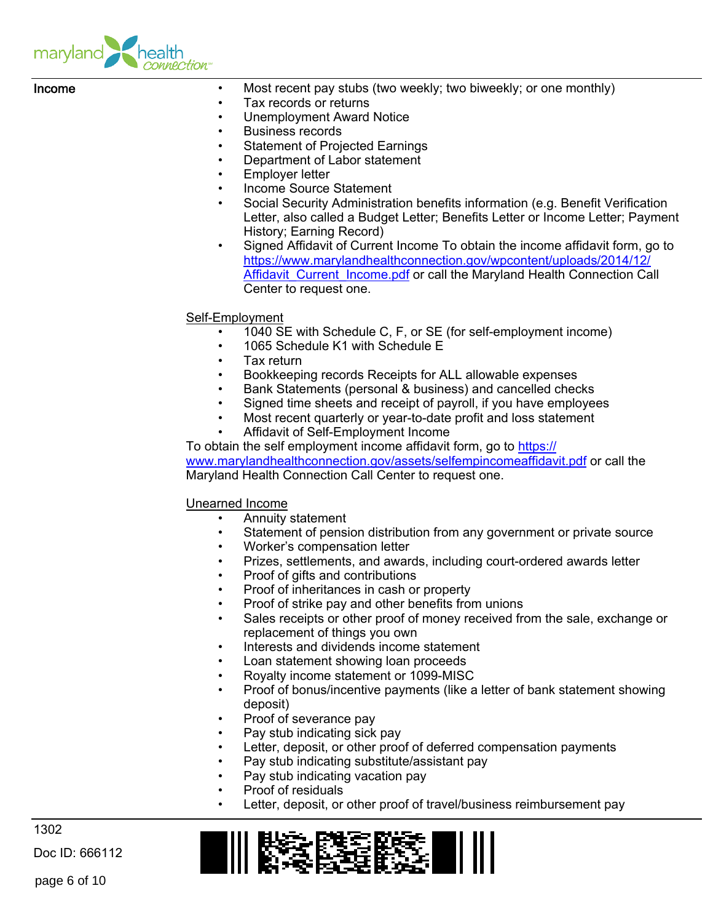

| Income | Most recent pay stubs (two weekly; two biweekly; or one monthly)<br>$\bullet$<br>Tax records or returns<br>$\bullet$<br><b>Unemployment Award Notice</b><br>$\bullet$<br><b>Business records</b><br>$\bullet$<br><b>Statement of Projected Earnings</b><br>$\bullet$<br>Department of Labor statement<br>$\bullet$<br>Employer letter<br>$\bullet$<br><b>Income Source Statement</b><br>$\bullet$<br>Social Security Administration benefits information (e.g. Benefit Verification<br>$\bullet$<br>Letter, also called a Budget Letter; Benefits Letter or Income Letter; Payment<br>History; Earning Record)<br>Signed Affidavit of Current Income To obtain the income affidavit form, go to<br>$\bullet$<br>https://www.marylandhealthconnection.gov/wpcontent/uploads/2014/12/<br><b>Affidavit Current Income.pdf or call the Maryland Health Connection Call</b><br>Center to request one. |
|--------|--------------------------------------------------------------------------------------------------------------------------------------------------------------------------------------------------------------------------------------------------------------------------------------------------------------------------------------------------------------------------------------------------------------------------------------------------------------------------------------------------------------------------------------------------------------------------------------------------------------------------------------------------------------------------------------------------------------------------------------------------------------------------------------------------------------------------------------------------------------------------------------------------|
|        | Self-Employment<br>1040 SE with Schedule C, F, or SE (for self-employment income)<br>1065 Schedule K1 with Schedule E<br>$\bullet$<br>Tax return<br>$\bullet$<br>Bookkeeping records Receipts for ALL allowable expenses<br>$\bullet$<br>Bank Statements (personal & business) and cancelled checks<br>$\bullet$<br>Signed time sheets and receipt of payroll, if you have employees<br>$\bullet$<br>Most recent quarterly or year-to-date profit and loss statement<br>$\bullet$<br>Affidavit of Self-Employment Income<br>$\bullet$<br>To obtain the self employment income affidavit form, go to https://                                                                                                                                                                                                                                                                                     |

[www.marylandhealthconnection.gov/assets/selfempincomeaffidavit.pdf](https://www.marylandhealthconnection.gov/assets/selfempincomeaffidavit.pdf) or call the Maryland Health Connection Call Center to request one.

#### Unearned Income

- Annuity statement
- Statement of pension distribution from any government or private source
- Worker's compensation letter
- Prizes, settlements, and awards, including court-ordered awards letter
- Proof of gifts and contributions
- Proof of inheritances in cash or property
- Proof of strike pay and other benefits from unions
- Sales receipts or other proof of money received from the sale, exchange or replacement of things you own
- Interests and dividends income statement
- Loan statement showing loan proceeds
- Royalty income statement or 1099-MISC
- Proof of bonus/incentive payments (like a letter of bank statement showing deposit)
- Proof of severance pay
- Pay stub indicating sick pay
- Letter, deposit, or other proof of deferred compensation payments
- Pay stub indicating substitute/assistant pay
- Pay stub indicating vacation pay
- Proof of residuals
	- Letter, deposit, or other proof of travel/business reimbursement pay

1302

Doc ID: 666112

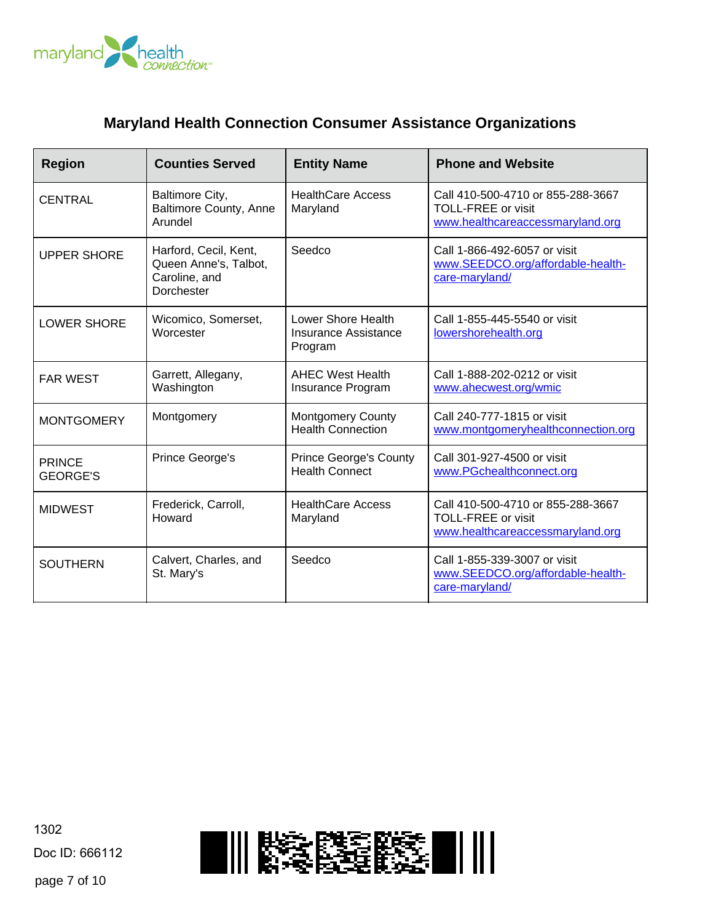

## **Maryland Health Connection Consumer Assistance Organizations**

| <b>Region</b>                    | <b>Counties Served</b>                                                        | <b>Entity Name</b>                                           | <b>Phone and Website</b>                                                                           |
|----------------------------------|-------------------------------------------------------------------------------|--------------------------------------------------------------|----------------------------------------------------------------------------------------------------|
| CENTRAL                          | Baltimore City,<br><b>Baltimore County, Anne</b><br>Arundel                   | <b>HealthCare Access</b><br>Maryland                         | Call 410-500-4710 or 855-288-3667<br><b>TOLL-FREE or visit</b><br>www.healthcareaccessmaryland.org |
| <b>UPPER SHORE</b>               | Harford, Cecil, Kent,<br>Queen Anne's, Talbot,<br>Caroline, and<br>Dorchester | Seedco                                                       | Call 1-866-492-6057 or visit<br>www.SEEDCO.org/affordable-health-<br>care-maryland/                |
| <b>LOWER SHORE</b>               | Wicomico, Somerset,<br>Worcester                                              | Lower Shore Health<br><b>Insurance Assistance</b><br>Program | Call 1-855-445-5540 or visit<br>lowershorehealth.org                                               |
| <b>FAR WEST</b>                  | Garrett, Allegany,<br>Washington                                              | <b>AHEC West Health</b><br>Insurance Program                 | Call 1-888-202-0212 or visit<br>www.ahecwest.org/wmic                                              |
| <b>MONTGOMERY</b>                | Montgomery                                                                    | <b>Montgomery County</b><br><b>Health Connection</b>         | Call 240-777-1815 or visit<br>www.montgomeryhealthconnection.org                                   |
| <b>PRINCE</b><br><b>GEORGE'S</b> | Prince George's                                                               | <b>Prince George's County</b><br><b>Health Connect</b>       | Call 301-927-4500 or visit<br>www.PGchealthconnect.org                                             |
| <b>MIDWEST</b>                   | Frederick, Carroll,<br>Howard                                                 | <b>HealthCare Access</b><br>Maryland                         | Call 410-500-4710 or 855-288-3667<br><b>TOLL-FREE or visit</b><br>www.healthcareaccessmaryland.org |
| <b>SOUTHERN</b>                  | Calvert, Charles, and<br>St. Mary's                                           | Seedco                                                       | Call 1-855-339-3007 or visit<br>www.SEEDCO.org/affordable-health-<br>care-maryland/                |

1302 Doc ID: 666112



page 7 of 10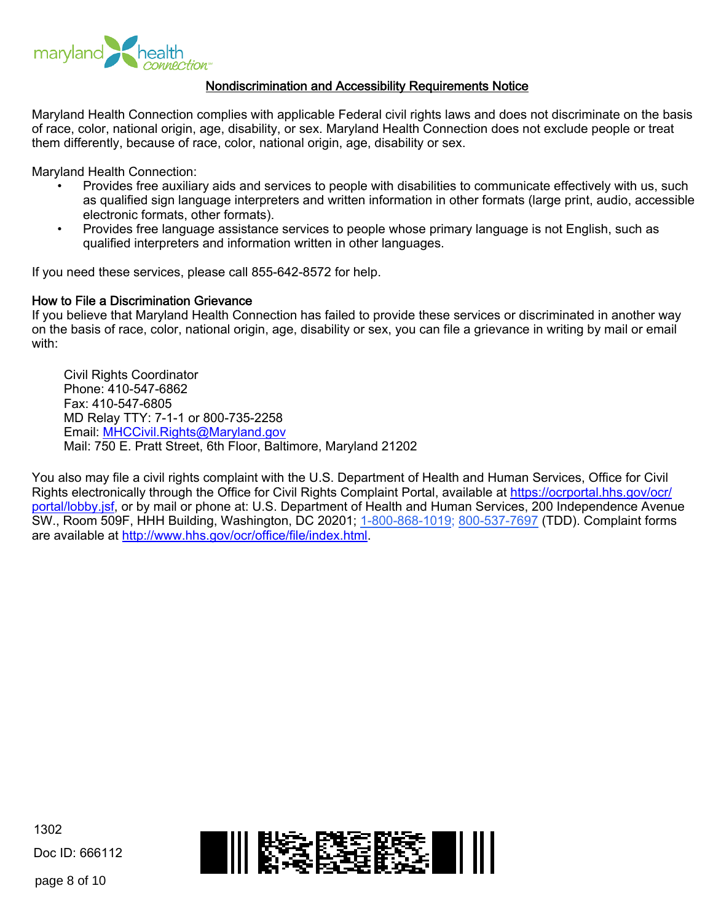

#### Nondiscrimination and Accessibility Requirements Notice

Maryland Health Connection complies with applicable Federal civil rights laws and does not discriminate on the basis of race, color, national origin, age, disability, or sex. Maryland Health Connection does not exclude people or treat them differently, because of race, color, national origin, age, disability or sex.

Maryland Health Connection:

- Provides free auxiliary aids and services to people with disabilities to communicate effectively with us, such as qualified sign language interpreters and written information in other formats (large print, audio, accessible electronic formats, other formats).
- Provides free language assistance services to people whose primary language is not English, such as qualified interpreters and information written in other languages.

If you need these services, please call 855-642-8572 for help.

#### How to File a Discrimination Grievance

If you believe that Maryland Health Connection has failed to provide these services or discriminated in another way on the basis of race, color, national origin, age, disability or sex, you can file a grievance in writing by mail or email with:

Civil Rights Coordinator Phone: 410-547-6862 Fax: 410-547-6805 MD Relay TTY: 7-1-1 or 800-735-2258 Email:<MHCCivil.Rights@Maryland.gov> Mail: 750 E. Pratt Street, 6th Floor, Baltimore, Maryland 21202

You also may file a civil rights complaint with the U.S. Department of Health and Human Services, Office for Civil Rights electronically through the Office for Civil Rights Complaint Portal, available at [https://ocrportal.hhs.gov/ocr/](https://ocrportal.hhs.gov/ocr/portal/lobby.jsf) [portal/lobby.jsf](https://ocrportal.hhs.gov/ocr/portal/lobby.jsf), or by mail or phone at: U.S. Department of Health and Human Services, 200 Independence Avenue SW., Room 509F, HHH Building, Washington, DC 20201; 1-800-868-1019; 800-537-7697 (TDD). Complaint forms are available at <http://www.hhs.gov/ocr/office/file/index.html>.

1302 Doc ID: 666112

page 8 of 10

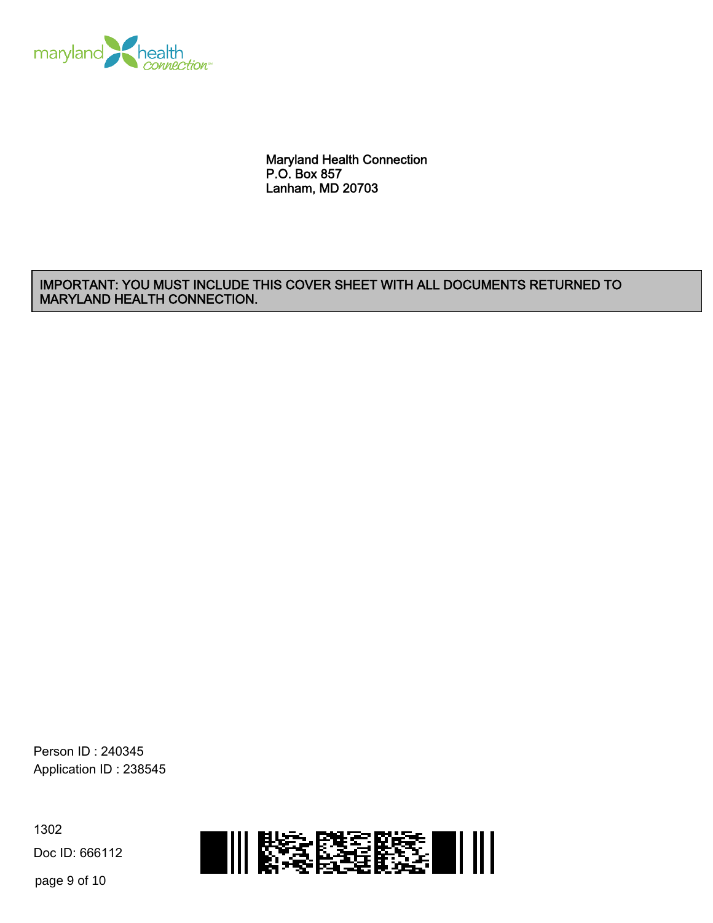

Maryland Health Connection P.O. Box 857 Lanham, MD 20703

#### IMPORTANT: YOU MUST INCLUDE THIS COVER SHEET WITH ALL DOCUMENTS RETURNED TO MARYLAND HEALTH CONNECTION.

Person ID : 240345 Application ID : 238545

1302 Doc ID: 666112



page 9 of 10